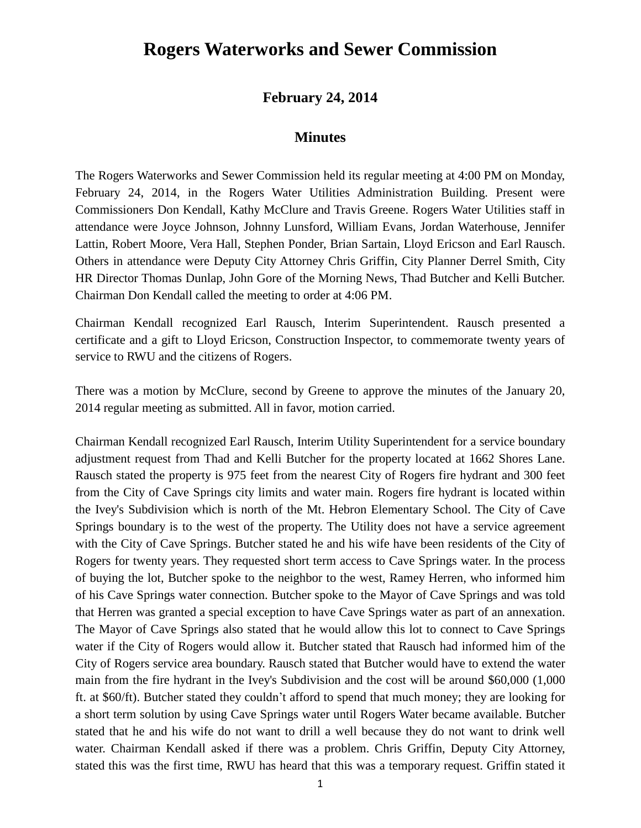## **Rogers Waterworks and Sewer Commission**

## **February 24, 2014**

## **Minutes**

The Rogers Waterworks and Sewer Commission held its regular meeting at 4:00 PM on Monday, February 24, 2014, in the Rogers Water Utilities Administration Building. Present were Commissioners Don Kendall, Kathy McClure and Travis Greene. Rogers Water Utilities staff in attendance were Joyce Johnson, Johnny Lunsford, William Evans, Jordan Waterhouse, Jennifer Lattin, Robert Moore, Vera Hall, Stephen Ponder, Brian Sartain, Lloyd Ericson and Earl Rausch. Others in attendance were Deputy City Attorney Chris Griffin, City Planner Derrel Smith, City HR Director Thomas Dunlap, John Gore of the Morning News, Thad Butcher and Kelli Butcher. Chairman Don Kendall called the meeting to order at 4:06 PM.

Chairman Kendall recognized Earl Rausch, Interim Superintendent. Rausch presented a certificate and a gift to Lloyd Ericson, Construction Inspector, to commemorate twenty years of service to RWU and the citizens of Rogers.

There was a motion by McClure, second by Greene to approve the minutes of the January 20, 2014 regular meeting as submitted. All in favor, motion carried.

Chairman Kendall recognized Earl Rausch, Interim Utility Superintendent for a service boundary adjustment request from Thad and Kelli Butcher for the property located at 1662 Shores Lane. Rausch stated the property is 975 feet from the nearest City of Rogers fire hydrant and 300 feet from the City of Cave Springs city limits and water main. Rogers fire hydrant is located within the Ivey's Subdivision which is north of the Mt. Hebron Elementary School. The City of Cave Springs boundary is to the west of the property. The Utility does not have a service agreement with the City of Cave Springs. Butcher stated he and his wife have been residents of the City of Rogers for twenty years. They requested short term access to Cave Springs water. In the process of buying the lot, Butcher spoke to the neighbor to the west, Ramey Herren, who informed him of his Cave Springs water connection. Butcher spoke to the Mayor of Cave Springs and was told that Herren was granted a special exception to have Cave Springs water as part of an annexation. The Mayor of Cave Springs also stated that he would allow this lot to connect to Cave Springs water if the City of Rogers would allow it. Butcher stated that Rausch had informed him of the City of Rogers service area boundary. Rausch stated that Butcher would have to extend the water main from the fire hydrant in the Ivey's Subdivision and the cost will be around \$60,000 (1,000 ft. at \$60/ft). Butcher stated they couldn't afford to spend that much money; they are looking for a short term solution by using Cave Springs water until Rogers Water became available. Butcher stated that he and his wife do not want to drill a well because they do not want to drink well water. Chairman Kendall asked if there was a problem. Chris Griffin, Deputy City Attorney, stated this was the first time, RWU has heard that this was a temporary request. Griffin stated it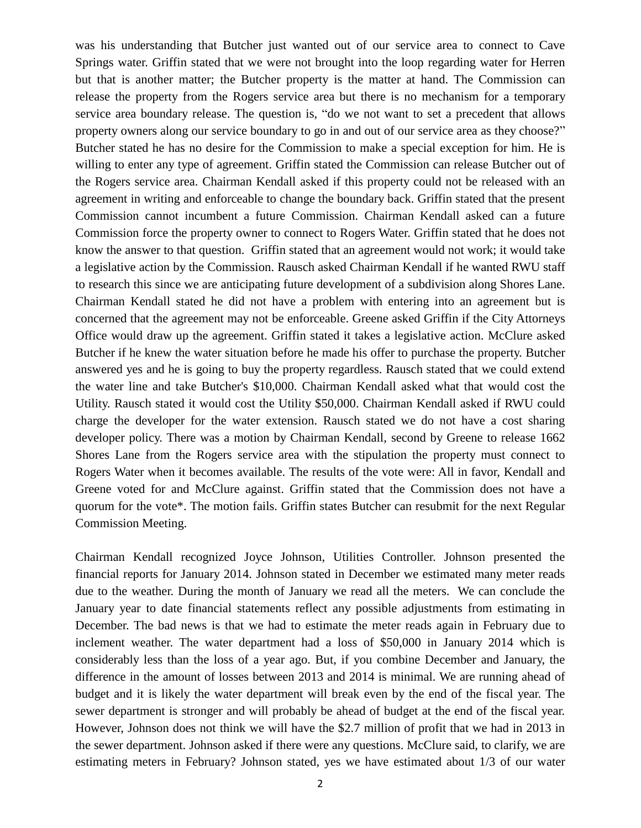was his understanding that Butcher just wanted out of our service area to connect to Cave Springs water. Griffin stated that we were not brought into the loop regarding water for Herren but that is another matter; the Butcher property is the matter at hand. The Commission can release the property from the Rogers service area but there is no mechanism for a temporary service area boundary release. The question is, "do we not want to set a precedent that allows property owners along our service boundary to go in and out of our service area as they choose?" Butcher stated he has no desire for the Commission to make a special exception for him. He is willing to enter any type of agreement. Griffin stated the Commission can release Butcher out of the Rogers service area. Chairman Kendall asked if this property could not be released with an agreement in writing and enforceable to change the boundary back. Griffin stated that the present Commission cannot incumbent a future Commission. Chairman Kendall asked can a future Commission force the property owner to connect to Rogers Water. Griffin stated that he does not know the answer to that question. Griffin stated that an agreement would not work; it would take a legislative action by the Commission. Rausch asked Chairman Kendall if he wanted RWU staff to research this since we are anticipating future development of a subdivision along Shores Lane. Chairman Kendall stated he did not have a problem with entering into an agreement but is concerned that the agreement may not be enforceable. Greene asked Griffin if the City Attorneys Office would draw up the agreement. Griffin stated it takes a legislative action. McClure asked Butcher if he knew the water situation before he made his offer to purchase the property. Butcher answered yes and he is going to buy the property regardless. Rausch stated that we could extend the water line and take Butcher's \$10,000. Chairman Kendall asked what that would cost the Utility. Rausch stated it would cost the Utility \$50,000. Chairman Kendall asked if RWU could charge the developer for the water extension. Rausch stated we do not have a cost sharing developer policy. There was a motion by Chairman Kendall, second by Greene to release 1662 Shores Lane from the Rogers service area with the stipulation the property must connect to Rogers Water when it becomes available. The results of the vote were: All in favor, Kendall and Greene voted for and McClure against. Griffin stated that the Commission does not have a quorum for the vote\*. The motion fails. Griffin states Butcher can resubmit for the next Regular Commission Meeting.

Chairman Kendall recognized Joyce Johnson, Utilities Controller. Johnson presented the financial reports for January 2014. Johnson stated in December we estimated many meter reads due to the weather. During the month of January we read all the meters. We can conclude the January year to date financial statements reflect any possible adjustments from estimating in December. The bad news is that we had to estimate the meter reads again in February due to inclement weather. The water department had a loss of \$50,000 in January 2014 which is considerably less than the loss of a year ago. But, if you combine December and January, the difference in the amount of losses between 2013 and 2014 is minimal. We are running ahead of budget and it is likely the water department will break even by the end of the fiscal year. The sewer department is stronger and will probably be ahead of budget at the end of the fiscal year. However, Johnson does not think we will have the \$2.7 million of profit that we had in 2013 in the sewer department. Johnson asked if there were any questions. McClure said, to clarify, we are estimating meters in February? Johnson stated, yes we have estimated about 1/3 of our water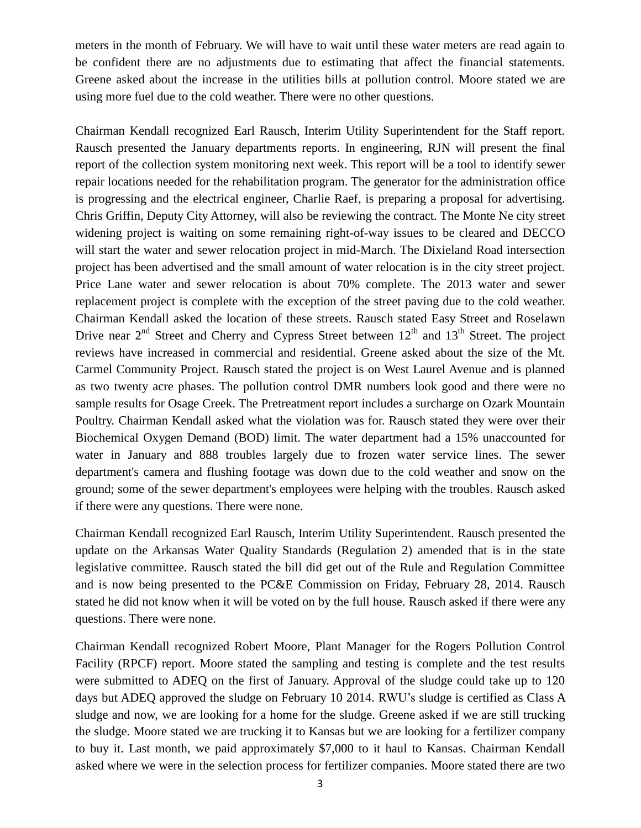meters in the month of February. We will have to wait until these water meters are read again to be confident there are no adjustments due to estimating that affect the financial statements. Greene asked about the increase in the utilities bills at pollution control. Moore stated we are using more fuel due to the cold weather. There were no other questions.

Chairman Kendall recognized Earl Rausch, Interim Utility Superintendent for the Staff report. Rausch presented the January departments reports. In engineering, RJN will present the final report of the collection system monitoring next week. This report will be a tool to identify sewer repair locations needed for the rehabilitation program. The generator for the administration office is progressing and the electrical engineer, Charlie Raef, is preparing a proposal for advertising. Chris Griffin, Deputy City Attorney, will also be reviewing the contract. The Monte Ne city street widening project is waiting on some remaining right-of-way issues to be cleared and DECCO will start the water and sewer relocation project in mid-March. The Dixieland Road intersection project has been advertised and the small amount of water relocation is in the city street project. Price Lane water and sewer relocation is about 70% complete. The 2013 water and sewer replacement project is complete with the exception of the street paving due to the cold weather. Chairman Kendall asked the location of these streets. Rausch stated Easy Street and Roselawn Drive near  $2<sup>nd</sup>$  Street and Cherry and Cypress Street between  $12<sup>th</sup>$  and  $13<sup>th</sup>$  Street. The project reviews have increased in commercial and residential. Greene asked about the size of the Mt. Carmel Community Project. Rausch stated the project is on West Laurel Avenue and is planned as two twenty acre phases. The pollution control DMR numbers look good and there were no sample results for Osage Creek. The Pretreatment report includes a surcharge on Ozark Mountain Poultry. Chairman Kendall asked what the violation was for. Rausch stated they were over their Biochemical Oxygen Demand (BOD) limit. The water department had a 15% unaccounted for water in January and 888 troubles largely due to frozen water service lines. The sewer department's camera and flushing footage was down due to the cold weather and snow on the ground; some of the sewer department's employees were helping with the troubles. Rausch asked if there were any questions. There were none.

Chairman Kendall recognized Earl Rausch, Interim Utility Superintendent. Rausch presented the update on the Arkansas Water Quality Standards (Regulation 2) amended that is in the state legislative committee. Rausch stated the bill did get out of the Rule and Regulation Committee and is now being presented to the PC&E Commission on Friday, February 28, 2014. Rausch stated he did not know when it will be voted on by the full house. Rausch asked if there were any questions. There were none.

Chairman Kendall recognized Robert Moore, Plant Manager for the Rogers Pollution Control Facility (RPCF) report. Moore stated the sampling and testing is complete and the test results were submitted to ADEQ on the first of January. Approval of the sludge could take up to 120 days but ADEQ approved the sludge on February 10 2014. RWU's sludge is certified as Class A sludge and now, we are looking for a home for the sludge. Greene asked if we are still trucking the sludge. Moore stated we are trucking it to Kansas but we are looking for a fertilizer company to buy it. Last month, we paid approximately \$7,000 to it haul to Kansas. Chairman Kendall asked where we were in the selection process for fertilizer companies. Moore stated there are two